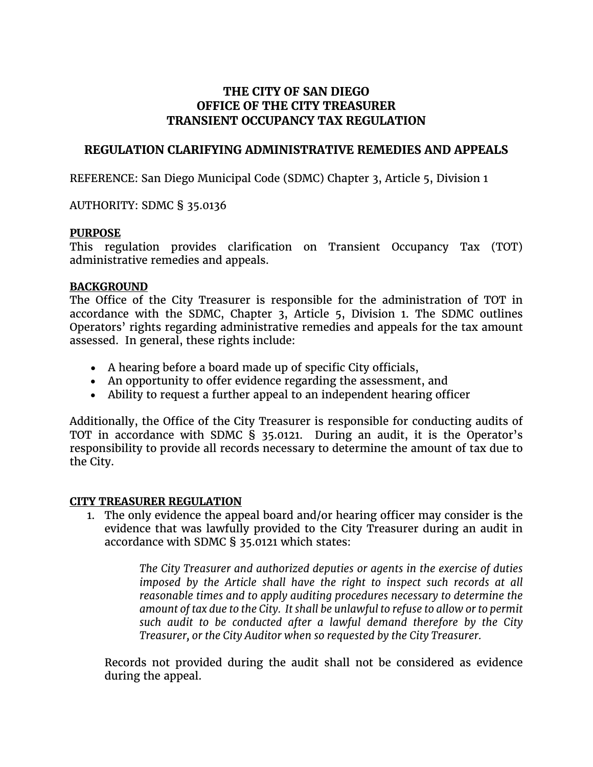# **THE CITY OF SAN DIEGO OFFICE OF THE CITY TREASURER TRANSIENT OCCUPANCY TAX REGULATION**

## **REGULATION CLARIFYING ADMINISTRATIVE REMEDIES AND APPEALS**

REFERENCE: San Diego Municipal Code (SDMC) Chapter 3, Article 5, Division 1

AUTHORITY: SDMC § 35.0136

#### **PURPOSE**

This regulation provides clarification on Transient Occupancy Tax (TOT) administrative remedies and appeals.

### **BACKGROUND**

The Office of the City Treasurer is responsible for the administration of TOT in accordance with the SDMC, Chapter 3, Article 5, Division 1. The SDMC outlines Operators' rights regarding administrative remedies and appeals for the tax amount assessed. In general, these rights include:

- A hearing before a board made up of specific City officials,
- An opportunity to offer evidence regarding the assessment, and
- Ability to request a further appeal to an independent hearing officer

Additionally, the Office of the City Treasurer is responsible for conducting audits of TOT in accordance with SDMC § 35.0121. During an audit, it is the Operator's responsibility to provide all records necessary to determine the amount of tax due to the City.

### **CITY TREASURER REGULATION**

1. The only evidence the appeal board and/or hearing officer may consider is the evidence that was lawfully provided to the City Treasurer during an audit in accordance with SDMC § 35.0121 which states:

> *The City Treasurer and authorized deputies or agents in the exercise of duties imposed by the Article shall have the right to inspect such records at all reasonable times and to apply auditing procedures necessary to determine the amount of tax due to the City. It shall be unlawful to refuse to allow or to permit such audit to be conducted after a lawful demand therefore by the City Treasurer, or the City Auditor when so requested by the City Treasurer.*

Records not provided during the audit shall not be considered as evidence during the appeal.